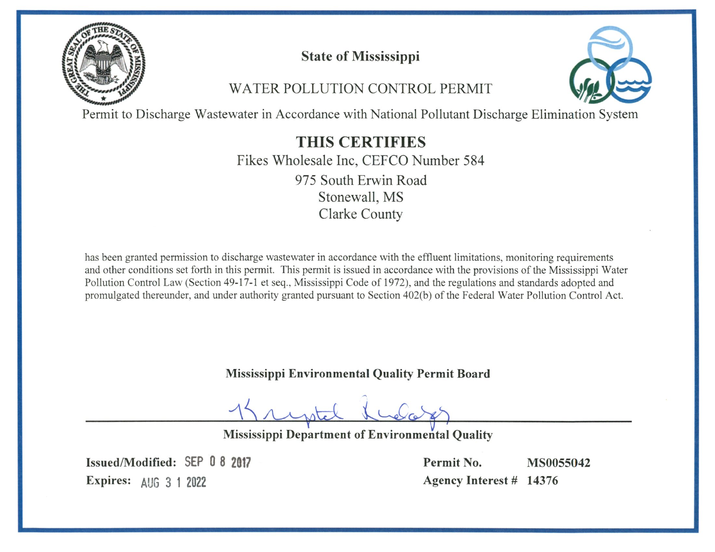

**State of Mississippi** 

WATER POLLUTION CONTROL PERMIT



Permit to Discharge Wastewater in Accordance with National Pollutant Discharge Elimination System

**THIS CERTIFIES** Fikes Wholesale Inc, CEFCO Number 584 975 South Erwin Road Stonewall, MS **Clarke County** 

has been granted permission to discharge wastewater in accordance with the effluent limitations, monitoring requirements and other conditions set forth in this permit. This permit is issued in accordance with the provisions of the Mississippi Water Pollution Control Law (Section 49-17-1 et seq., Mississippi Code of 1972), and the regulations and standards adopted and promulgated thereunder, and under authority granted pursuant to Section 402(b) of the Federal Water Pollution Control Act.

Mississippi Environmental Quality Permit Board

Mississippi Department of Environmental Quality

Issued/Modified: SEP 0 8 2017 Expires: AUG 3 1 2022

Permit No. **MS0055042** Agency Interest # 14376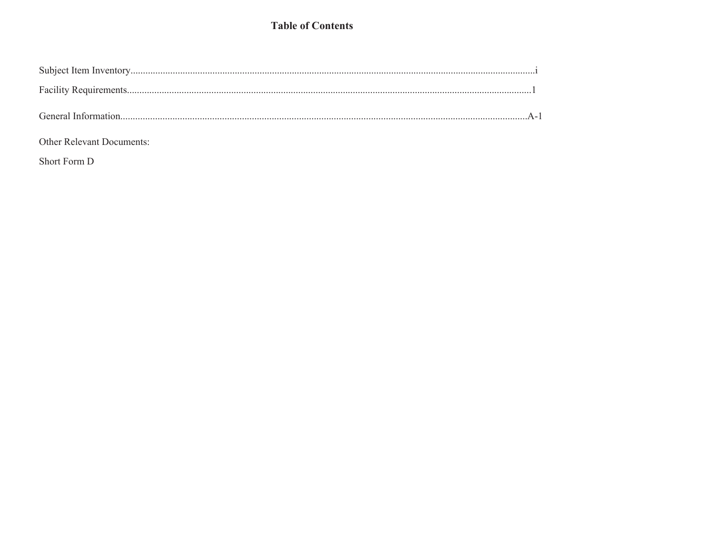## **Table of Contents**

### Other Relevant Documents:

Short Form D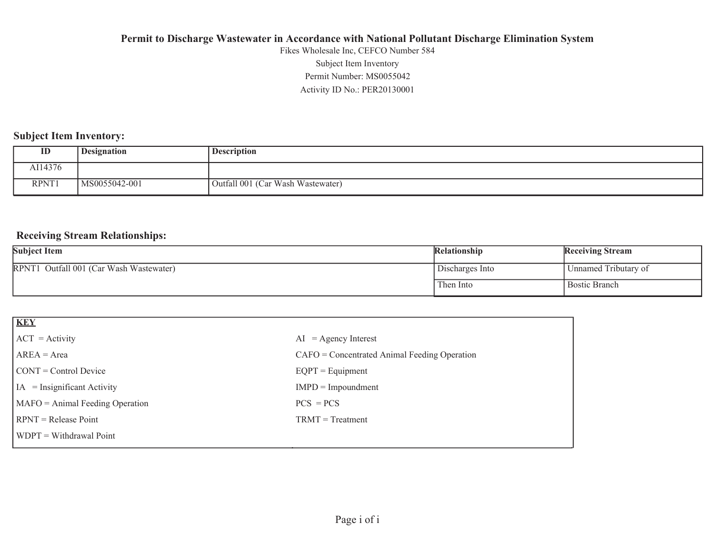Activity ID No.: PER20130001 Permit Number: MS0055042Subject Item Inventory Fikes Wholesale Inc, CEFCO Number 584

## **Subject Item Inventory:**

| ID      | <b>Designation</b> | <b>Description</b>                |
|---------|--------------------|-----------------------------------|
| AI14376 |                    |                                   |
| RPNT1   | MS0055042-001      | Outfall 001 (Car Wash Wastewater) |

### **Receiving Stream Relationships:**

| <b>Subject Item</b>                     | <b>Relationship</b> | <b>Receiving Stream</b> |
|-----------------------------------------|---------------------|-------------------------|
| RPNT1 Outfall 001 (Car Wash Wastewater) | Discharges Into     | Unnamed Tributary of    |
|                                         | Then Into           | <b>Bostic Branch</b>    |

| $AI = Agency Interest$                         |
|------------------------------------------------|
| $CAFO =$ Concentrated Animal Feeding Operation |
| $EQPT = Equipment$                             |
| $IMPD = Impoundment$                           |
| $PCS = PCs$                                    |
| $TRMT = Treatment$                             |
|                                                |
|                                                |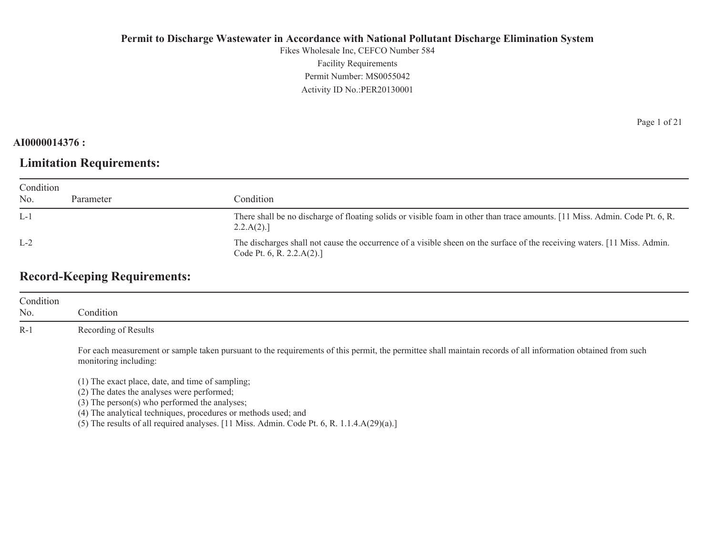Fikes Wholesale Inc, CEFCO Number 584 Facility Requirements Permit Number: MS0055042 Activity ID No.:PER20130001

### **AI0000014376 :**

## **Limitation Requirements:**

| Condition |           |                                                                                                                                                          |  |
|-----------|-----------|----------------------------------------------------------------------------------------------------------------------------------------------------------|--|
| No.       | Parameter | Condition                                                                                                                                                |  |
| $L-1$     |           | There shall be no discharge of floating solids or visible foam in other than trace amounts. [11 Miss. Admin. Code Pt. 6, R.<br>2.2.A(2).                 |  |
| $L-2$     |           | The discharges shall not cause the occurrence of a visible sheen on the surface of the receiving waters. [11 Miss. Admin.]<br>Code Pt. 6, R. $2.2.A(2).$ |  |

## **Record-Keeping Requirements:**

| Condition<br>No. | Condition                                                                                                                                                                                                              |
|------------------|------------------------------------------------------------------------------------------------------------------------------------------------------------------------------------------------------------------------|
| $R-1$            | Recording of Results                                                                                                                                                                                                   |
|                  | For each measurement or sample taken pursuant to the requirements of this permit, the permittee shall maintain records of all information obtained from such<br>monitoring including:                                  |
|                  | (1) The exact place, date, and time of sampling;<br>(2) The dates the analyses were performed;<br>$(3)$ The person $(s)$ who performed the analyses;<br>(4) The analytical techniques, procedures or methods used; and |

(5) The results of all required analyses. [11 Miss. Admin. Code Pt. 6, R. 1.1.4.A(29)(a).]

Page 1 of 21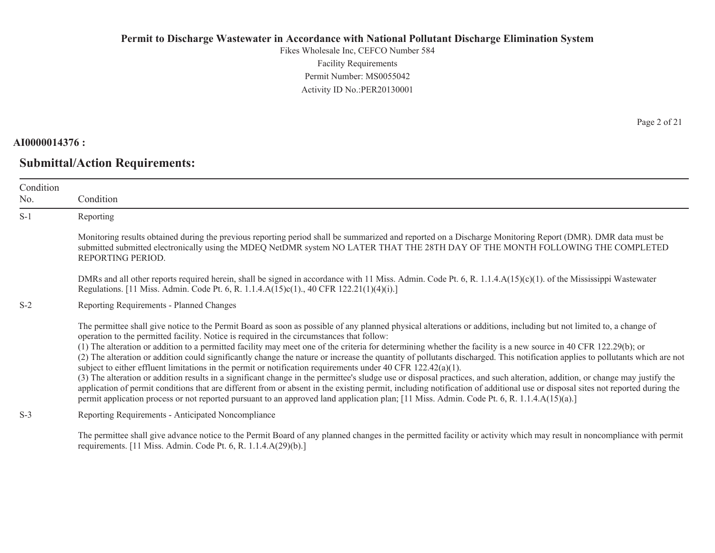Fikes Wholesale Inc, CEFCO Number 584 Facility Requirements Permit Number: MS0055042Activity ID No.:PER20130001

### **AI0000014376 :**

No.

S-1

S-2

**Submittal/Action Requirements:**

Condition Condition Reporting Monitoring results obtained during the previous reporting period shall be summarized and reported on a Discharge Monitoring Report (DMR). DMR data must be submitted submitted electronically using the MDEQ NetDMR system NO LATER THAT THE 28TH DAY OF THE MONTH FOLLOWING THE COMPLETED REPORTING PERIOD. DMRs and all other reports required herein, shall be signed in accordance with 11 Miss. Admin. Code Pt. 6, R. 1.1.4.A(15)(c)(1). of the Mississippi Wastewater Regulations. [11 Miss. Admin. Code Pt. 6, R. 1.1.4.A(15)c(1)., 40 CFR 122.21(1)(4)(i).] Reporting Requirements - Planned Changes The permittee shall give notice to the Permit Board as soon as possible of any planned physical alterations or additions, including but not limited to, a change of operation to the permitted facility. Notice is required in the circumstances that follow: (1) The alteration or addition to a permitted facility may meet one of the criteria for determining whether the facility is a new source in 40 CFR 122.29(b); or (2) The alteration or addition could significantly change the nature or increase the quantity of pollutants discharged. This notification applies to pollutants which are not subject to either effluent limitations in the permit or notification requirements under 40 CFR 122.42(a)(1). (3) The alteration or addition results in a significant change in the permittee's sludge use or disposal practices, and such alteration, addition, or change may justify the application of permit conditions that are different from or absent in the existing permit, including notification of additional use or disposal sites not reported during the permit application process or not reported pursuant to an approved land application plan; [11 Miss. Admin. Code Pt. 6, R. 1.1.4.A(15)(a).]

S-3Reporting Requirements - Anticipated Noncompliance

> The permittee shall give advance notice to the Permit Board of any planned changes in the permitted facility or activity which may result in noncompliance with permit requirements. [11 Miss. Admin. Code Pt. 6, R. 1.1.4.A(29)(b).]

Page 2 of 21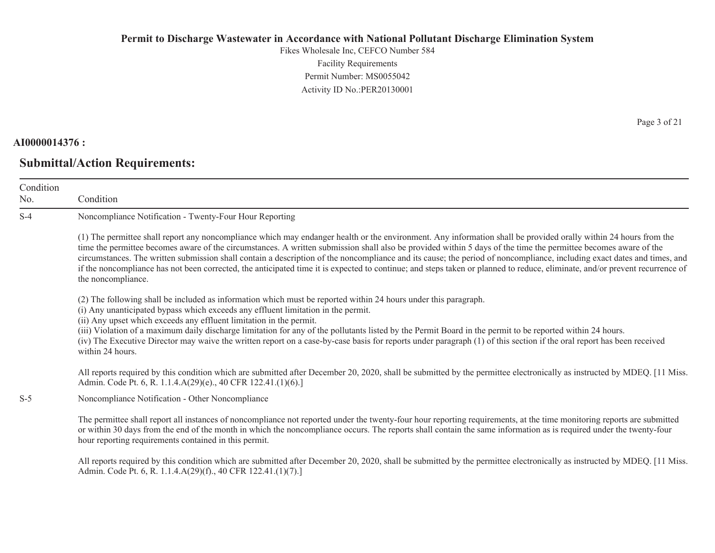Fikes Wholesale Inc, CEFCO Number 584 Facility Requirements Permit Number: MS0055042Activity ID No.:PER20130001

### **AI0000014376 :**

Condition No.

S-4

## **Submittal/Action Requirements:**

 Condition Noncompliance Notification - Twenty-Four Hour Reporting (1) The permittee shall report any noncompliance which may endanger health or the environment. Any information shall be provided orally within 24 hours from the time the permittee becomes aware of the circumstances. A written submission shall also be provided within 5 days of the time the permittee becomes aware of the circumstances. The written submission shall contain a description of the noncompliance and its cause; the period of noncompliance, including exact dates and times, and if the noncompliance has not been corrected, the anticipated time it is expected to continue; and steps taken or planned to reduce, eliminate, and/or prevent recurrence of the noncompliance. (2) The following shall be included as information which must be reported within 24 hours under this paragraph. (i) Any unanticipated bypass which exceeds any effluent limitation in the permit. (ii) Any upset which exceeds any effluent limitation in the permit. (iii) Violation of a maximum daily discharge limitation for any of the pollutants listed by the Permit Board in the permit to be reported within 24 hours. (iv) The Executive Director may waive the written report on a case-by-case basis for reports under paragraph (1) of this section if the oral report has been received within 24 hours. All reports required by this condition which are submitted after December 20, 2020, shall be submitted by the permittee electronically as instructed by MDEQ. [11 Miss.] Admin. Code Pt. 6, R. 1.1.4.A(29)(e)., 40 CFR 122.41.(1)(6).]

S-5Noncompliance Notification - Other Noncompliance

> The permittee shall report all instances of noncompliance not reported under the twenty-four hour reporting requirements, at the time monitoring reports are submitted or within 30 days from the end of the month in which the noncompliance occurs. The reports shall contain the same information as is required under the twenty-four hour reporting requirements contained in this permit.

All reports required by this condition which are submitted after December 20, 2020, shall be submitted by the permittee electronically as instructed by MDEQ. [11 Miss.] Admin. Code Pt. 6, R. 1.1.4.A(29)(f)., 40 CFR 122.41.(1)(7).]

Page 3 of 21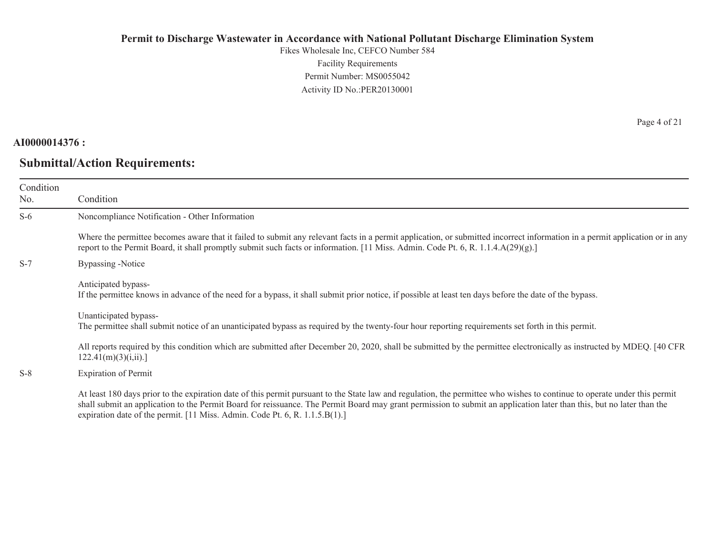Fikes Wholesale Inc, CEFCO Number 584 Facility Requirements Permit Number: MS0055042 Activity ID No.:PER20130001

#### **AI0000014376 :**

## **Submittal/Action Requirements:**

Page 4 of 21

| Condition<br>No. | Condition                                                                                                                                                                                                                                                                                                                                                                                                                         |
|------------------|-----------------------------------------------------------------------------------------------------------------------------------------------------------------------------------------------------------------------------------------------------------------------------------------------------------------------------------------------------------------------------------------------------------------------------------|
| $S-6$            | Noncompliance Notification - Other Information                                                                                                                                                                                                                                                                                                                                                                                    |
|                  | Where the permittee becomes aware that it failed to submit any relevant facts in a permit application, or submitted incorrect information in a permit application or in any<br>report to the Permit Board, it shall promptly submit such facts or information. [11 Miss. Admin. Code Pt. 6, R. 1.1.4.A(29)(g).]                                                                                                                   |
| $S-7$            | Bypassing -Notice                                                                                                                                                                                                                                                                                                                                                                                                                 |
|                  | Anticipated bypass-<br>If the permittee knows in advance of the need for a bypass, it shall submit prior notice, if possible at least ten days before the date of the bypass.                                                                                                                                                                                                                                                     |
|                  | Unanticipated bypass-<br>The permittee shall submit notice of an unanticipated bypass as required by the twenty-four hour reporting requirements set forth in this permit.                                                                                                                                                                                                                                                        |
|                  | All reports required by this condition which are submitted after December 20, 2020, shall be submitted by the permittee electronically as instructed by MDEQ. [40 CFR<br>122.41(m)(3)(i, ii).                                                                                                                                                                                                                                     |
| $S-8$            | <b>Expiration of Permit</b>                                                                                                                                                                                                                                                                                                                                                                                                       |
|                  | At least 180 days prior to the expiration date of this permit pursuant to the State law and regulation, the permittee who wishes to continue to operate under this permit<br>shall submit an application to the Permit Board for reissuance. The Permit Board may grant permission to submit an application later than this, but no later than the<br>expiration date of the permit. [11 Miss. Admin. Code Pt. 6, R. 1.1.5.B(1).] |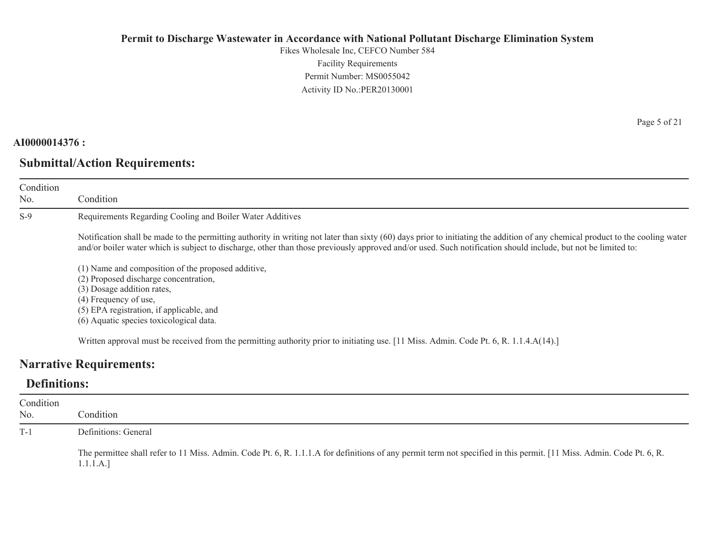Fikes Wholesale Inc, CEFCO Number 584 Facility Requirements Permit Number: MS0055042Activity ID No.:PER20130001

### **AI0000014376 :**

Condition No.

S-9

## **Submittal/Action Requirements:**

Condition

Requirements Regarding Cooling and Boiler Water Additives

Notification shall be made to the permitting authority in writing not later than sixty (60) days prior to initiating the addition of any chemical product to the cooling water and/or boiler water which is subject to discharge, other than those previously approved and/or used. Such notification should include, but not be limited to:

(1) Name and composition of the proposed additive,

(2) Proposed discharge concentration,

(3) Dosage addition rates,

(4) Frequency of use,

(5) EPA registration, if applicable, and

(6) Aquatic species toxicological data.

Written approval must be received from the permitting authority prior to initiating use. [11 Miss. Admin. Code Pt. 6, R. 1.1.4.A(14).]

## **Narrative Requirements:**

## **Definitions:**

| Condition<br>No. | Condition                                                                                                                                                                         |
|------------------|-----------------------------------------------------------------------------------------------------------------------------------------------------------------------------------|
| $T-1$            | Definitions: General                                                                                                                                                              |
|                  | The permittee shall refer to 11 Miss. Admin. Code Pt. 6, R. 1.1.1.A for definitions of any permit term not specified in this permit. [11 Miss. Admin. Code Pt. 6, R.<br>1.1.1.A.] |

Page 5 of 21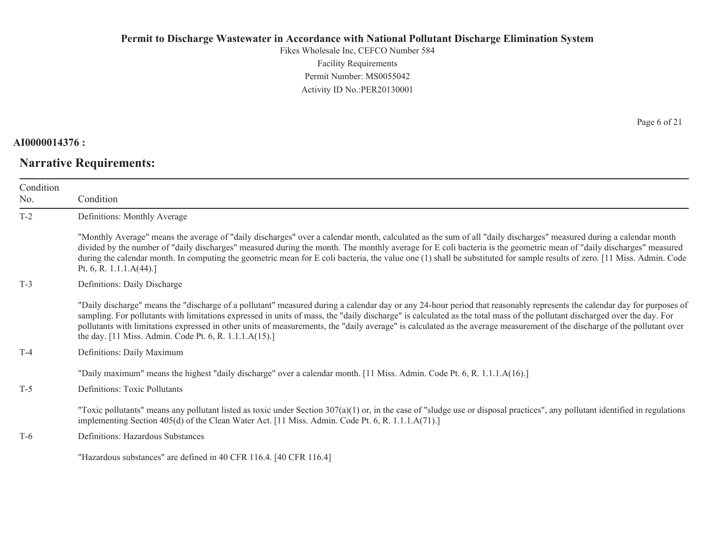Fikes Wholesale Inc, CEFCO Number 584 Facility Requirements Permit Number: MS0055042 Activity ID No.:PER20130001

#### **AI0000014376 :**

# **Narrative Requirements:**

Page 6 of 21

| Condition<br>No. | Condition                                                                                                                                                                                                                                                                                                                                                                                                                                                                                                                                                                                   |
|------------------|---------------------------------------------------------------------------------------------------------------------------------------------------------------------------------------------------------------------------------------------------------------------------------------------------------------------------------------------------------------------------------------------------------------------------------------------------------------------------------------------------------------------------------------------------------------------------------------------|
| $T-2$            | Definitions: Monthly Average                                                                                                                                                                                                                                                                                                                                                                                                                                                                                                                                                                |
|                  | "Monthly Average" means the average of "daily discharges" over a calendar month, calculated as the sum of all "daily discharges" measured during a calendar month<br>divided by the number of "daily discharges" measured during the month. The monthly average for E coli bacteria is the geometric mean of "daily discharges" measured<br>during the calendar month. In computing the geometric mean for E coli bacteria, the value one (1) shall be substituted for sample results of zero. [11 Miss. Admin. Code<br>Pt. 6, R. 1.1.1. $A(44)$ .]                                         |
| $T-3$            | Definitions: Daily Discharge                                                                                                                                                                                                                                                                                                                                                                                                                                                                                                                                                                |
|                  | "Daily discharge" means the "discharge of a pollutant" measured during a calendar day or any 24-hour period that reasonably represents the calendar day for purposes of<br>sampling. For pollutants with limitations expressed in units of mass, the "daily discharge" is calculated as the total mass of the pollutant discharged over the day. For<br>pollutants with limitations expressed in other units of measurements, the "daily average" is calculated as the average measurement of the discharge of the pollutant over<br>the day. [11 Miss. Admin. Code Pt. 6, R. 1.1.1.A(15).] |
| $T-4$            | Definitions: Daily Maximum                                                                                                                                                                                                                                                                                                                                                                                                                                                                                                                                                                  |
| $T-5$            | "Daily maximum" means the highest "daily discharge" over a calendar month. [11 Miss. Admin. Code Pt. 6, R. 1.1.1.A(16).]<br>Definitions: Toxic Pollutants                                                                                                                                                                                                                                                                                                                                                                                                                                   |
|                  | "Toxic pollutants" means any pollutant listed as toxic under Section $307(a)(1)$ or, in the case of "sludge use or disposal practices", any pollutant identified in regulations<br>implementing Section 405(d) of the Clean Water Act. [11 Miss. Admin. Code Pt. 6, R. 1.1.1.A(71).]                                                                                                                                                                                                                                                                                                        |
| $T-6$            | Definitions: Hazardous Substances                                                                                                                                                                                                                                                                                                                                                                                                                                                                                                                                                           |
|                  | "Hazardous substances" are defined in 40 CFR 116.4. [40 CFR 116.4]                                                                                                                                                                                                                                                                                                                                                                                                                                                                                                                          |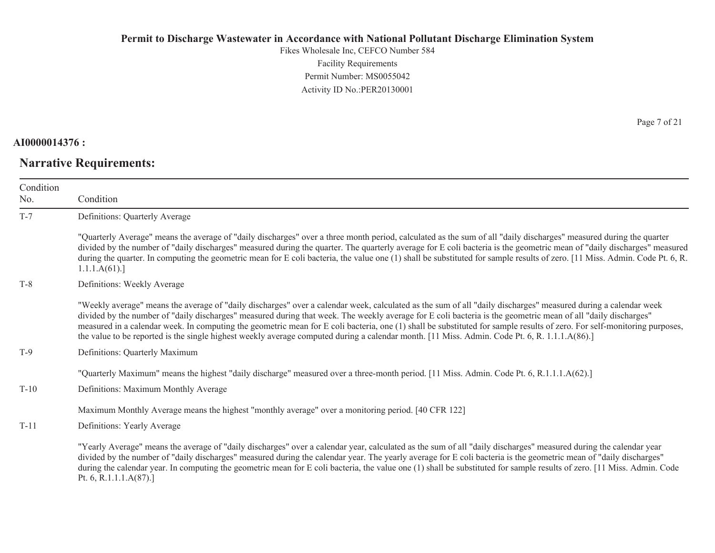Fikes Wholesale Inc, CEFCO Number 584 Facility Requirements Permit Number: MS0055042 Activity ID No.:PER20130001

#### **AI0000014376 :**

# **Narrative Requirements:**

Page 7 of 21

| Condition<br>No. | Condition                                                                                                                                                                                                                                                                                                                                                                                                                                                                                                                                                                                                                                                    |
|------------------|--------------------------------------------------------------------------------------------------------------------------------------------------------------------------------------------------------------------------------------------------------------------------------------------------------------------------------------------------------------------------------------------------------------------------------------------------------------------------------------------------------------------------------------------------------------------------------------------------------------------------------------------------------------|
| $T-7$            | Definitions: Quarterly Average                                                                                                                                                                                                                                                                                                                                                                                                                                                                                                                                                                                                                               |
|                  | "Quarterly Average" means the average of "daily discharges" over a three month period, calculated as the sum of all "daily discharges" measured during the quarter<br>divided by the number of "daily discharges" measured during the quarter. The quarterly average for E coli bacteria is the geometric mean of "daily discharges" measured<br>during the quarter. In computing the geometric mean for E coli bacteria, the value one (1) shall be substituted for sample results of zero. [11 Miss. Admin. Code Pt. 6, R.<br>1.1.1.A(61).                                                                                                                 |
| $T-8$            | Definitions: Weekly Average                                                                                                                                                                                                                                                                                                                                                                                                                                                                                                                                                                                                                                  |
|                  | "Weekly average" means the average of "daily discharges" over a calendar week, calculated as the sum of all "daily discharges" measured during a calendar week<br>divided by the number of "daily discharges" measured during that week. The weekly average for E coli bacteria is the geometric mean of all "daily discharges"<br>measured in a calendar week. In computing the geometric mean for E coli bacteria, one (1) shall be substituted for sample results of zero. For self-monitoring purposes,<br>the value to be reported is the single highest weekly average computed during a calendar month. [11 Miss. Admin. Code Pt. 6, R. 1.1.1.A(86).] |
| $T-9$            | Definitions: Quarterly Maximum                                                                                                                                                                                                                                                                                                                                                                                                                                                                                                                                                                                                                               |
|                  | "Quarterly Maximum" means the highest "daily discharge" measured over a three-month period. [11 Miss. Admin. Code Pt. 6, R.1.1.1.A(62).]                                                                                                                                                                                                                                                                                                                                                                                                                                                                                                                     |
| $T-10$           | Definitions: Maximum Monthly Average                                                                                                                                                                                                                                                                                                                                                                                                                                                                                                                                                                                                                         |
|                  | Maximum Monthly Average means the highest "monthly average" over a monitoring period. [40 CFR 122]                                                                                                                                                                                                                                                                                                                                                                                                                                                                                                                                                           |
| $T-11$           | Definitions: Yearly Average                                                                                                                                                                                                                                                                                                                                                                                                                                                                                                                                                                                                                                  |
|                  | "Yearly Average" means the average of "daily discharges" over a calendar year, calculated as the sum of all "daily discharges" measured during the calendar year<br>divided by the number of "daily discharges" measured during the calendar year. The yearly average for E coli bacteria is the geometric mean of "daily discharges"<br>during the calendar year. In computing the geometric mean for E coli bacteria, the value one (1) shall be substituted for sample results of zero. [11 Miss. Admin. Code                                                                                                                                             |

Pt. 6, R.1.1.1.A(87).]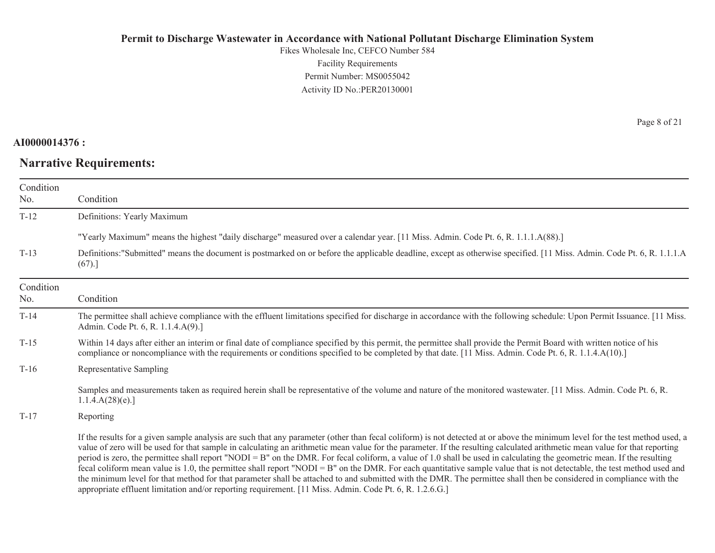Fikes Wholesale Inc, CEFCO Number 584 Facility Requirements Permit Number: MS0055042 Activity ID No.:PER20130001

#### **AI0000014376 :**

# **Narrative Requirements:**

Page 8 of 21

| Condition<br>No. | Condition                                                                                                                                                                                                                                                                                                                                                                                                                                                                                                                                                                                                                                                                                                                                                                                                                                                                                                                                                                                            |
|------------------|------------------------------------------------------------------------------------------------------------------------------------------------------------------------------------------------------------------------------------------------------------------------------------------------------------------------------------------------------------------------------------------------------------------------------------------------------------------------------------------------------------------------------------------------------------------------------------------------------------------------------------------------------------------------------------------------------------------------------------------------------------------------------------------------------------------------------------------------------------------------------------------------------------------------------------------------------------------------------------------------------|
| $T-12$           | Definitions: Yearly Maximum                                                                                                                                                                                                                                                                                                                                                                                                                                                                                                                                                                                                                                                                                                                                                                                                                                                                                                                                                                          |
|                  | "Yearly Maximum" means the highest "daily discharge" measured over a calendar year. [11 Miss. Admin. Code Pt. 6, R. 1.1.1.A(88).]                                                                                                                                                                                                                                                                                                                                                                                                                                                                                                                                                                                                                                                                                                                                                                                                                                                                    |
| $T-13$           | Definitions: "Submitted" means the document is postmarked on or before the applicable deadline, except as otherwise specified. [11 Miss. Admin. Code Pt. 6, R. 1.1.1.A<br>(67).                                                                                                                                                                                                                                                                                                                                                                                                                                                                                                                                                                                                                                                                                                                                                                                                                      |
| Condition<br>No. | Condition                                                                                                                                                                                                                                                                                                                                                                                                                                                                                                                                                                                                                                                                                                                                                                                                                                                                                                                                                                                            |
| $T-14$           | The permittee shall achieve compliance with the effluent limitations specified for discharge in accordance with the following schedule: Upon Permit Issuance. [11 Miss.]<br>Admin. Code Pt. 6, R. 1.1.4.A(9).]                                                                                                                                                                                                                                                                                                                                                                                                                                                                                                                                                                                                                                                                                                                                                                                       |
| $T-15$           | Within 14 days after either an interim or final date of compliance specified by this permit, the permittee shall provide the Permit Board with written notice of his<br>compliance or noncompliance with the requirements or conditions specified to be completed by that date. [11 Miss. Admin. Code Pt. 6, R. 1.1.4.A(10).]                                                                                                                                                                                                                                                                                                                                                                                                                                                                                                                                                                                                                                                                        |
| $T-16$           | Representative Sampling                                                                                                                                                                                                                                                                                                                                                                                                                                                                                                                                                                                                                                                                                                                                                                                                                                                                                                                                                                              |
|                  | Samples and measurements taken as required herein shall be representative of the volume and nature of the monitored wastewater. [11 Miss. Admin. Code Pt. 6, R.<br>1.1.4.A(28)(e).                                                                                                                                                                                                                                                                                                                                                                                                                                                                                                                                                                                                                                                                                                                                                                                                                   |
| $T-17$           | Reporting                                                                                                                                                                                                                                                                                                                                                                                                                                                                                                                                                                                                                                                                                                                                                                                                                                                                                                                                                                                            |
|                  | If the results for a given sample analysis are such that any parameter (other than fecal coliform) is not detected at or above the minimum level for the test method used, a<br>value of zero will be used for that sample in calculating an arithmetic mean value for the parameter. If the resulting calculated arithmetic mean value for that reporting<br>period is zero, the permittee shall report "NODI = B" on the DMR. For fecal coliform, a value of 1.0 shall be used in calculating the geometric mean. If the resulting<br>fecal coliform mean value is 1.0, the permittee shall report "NODI = $B$ " on the DMR. For each quantitative sample value that is not detectable, the test method used and<br>the minimum level for that method for that parameter shall be attached to and submitted with the DMR. The permittee shall then be considered in compliance with the<br>appropriate effluent limitation and/or reporting requirement. [11 Miss. Admin. Code Pt. 6, R. 1.2.6.G.] |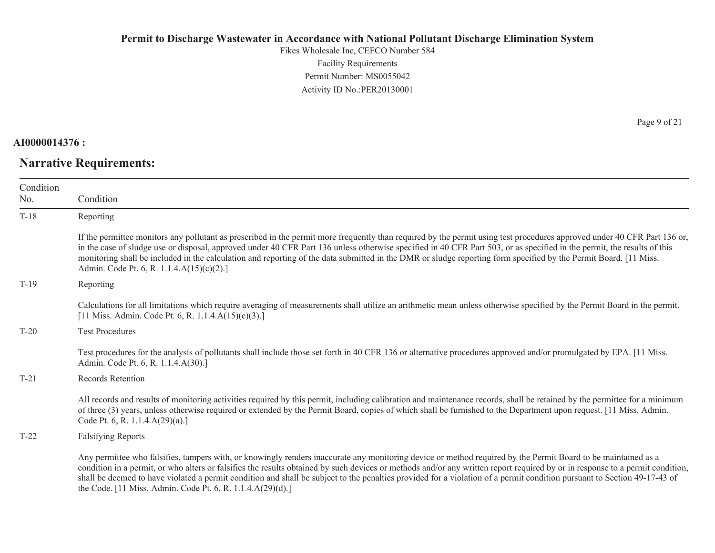Fikes Wholesale Inc, CEFCO Number 584 Facility Requirements Permit Number: MS0055042Activity ID No.:PER20130001

**AI0000014376 :**

**Narrative Requirements:**

Page 9 of 21

| Condition<br>No. | Condition                                                                                                                                                                                                                                                                                                                                                                                                                                                                                                                                                                                |
|------------------|------------------------------------------------------------------------------------------------------------------------------------------------------------------------------------------------------------------------------------------------------------------------------------------------------------------------------------------------------------------------------------------------------------------------------------------------------------------------------------------------------------------------------------------------------------------------------------------|
| $T-18$           | Reporting                                                                                                                                                                                                                                                                                                                                                                                                                                                                                                                                                                                |
|                  | If the permittee monitors any pollutant as prescribed in the permit more frequently than required by the permit using test procedures approved under 40 CFR Part 136 or,<br>in the case of sludge use or disposal, approved under 40 CFR Part 136 unless otherwise specified in 40 CFR Part 503, or as specified in the permit, the results of this<br>monitoring shall be included in the calculation and reporting of the data submitted in the DMR or sludge reporting form specified by the Permit Board. [11 Miss.]<br>Admin. Code Pt. 6, R. 1.1.4.A(15)(c)(2).]                    |
| $T-19$           | Reporting                                                                                                                                                                                                                                                                                                                                                                                                                                                                                                                                                                                |
|                  | Calculations for all limitations which require averaging of measurements shall utilize an arithmetic mean unless otherwise specified by the Permit Board in the permit.<br>[11 Miss. Admin. Code Pt. 6, R. 1.1.4. $A(15)(c)(3)$ .]                                                                                                                                                                                                                                                                                                                                                       |
| $T-20$           | <b>Test Procedures</b>                                                                                                                                                                                                                                                                                                                                                                                                                                                                                                                                                                   |
|                  | Test procedures for the analysis of pollutants shall include those set forth in 40 CFR 136 or alternative procedures approved and/or promulgated by EPA. [11 Miss.]<br>Admin. Code Pt. 6, R. 1.1.4.A(30).]                                                                                                                                                                                                                                                                                                                                                                               |
| $T-21$           | Records Retention                                                                                                                                                                                                                                                                                                                                                                                                                                                                                                                                                                        |
|                  | All records and results of monitoring activities required by this permit, including calibration and maintenance records, shall be retained by the permittee for a minimum<br>of three (3) years, unless otherwise required or extended by the Permit Board, copies of which shall be furnished to the Department upon request. [11 Miss. Admin.]<br>Code Pt. 6, R. 1.1.4.A(29)(a).]                                                                                                                                                                                                      |
| $T-22$           | <b>Falsifying Reports</b>                                                                                                                                                                                                                                                                                                                                                                                                                                                                                                                                                                |
|                  | Any permittee who falsifies, tampers with, or knowingly renders inaccurate any monitoring device or method required by the Permit Board to be maintained as a<br>condition in a permit, or who alters or falsifies the results obtained by such devices or methods and/or any written report required by or in response to a permit condition,<br>shall be deemed to have violated a permit condition and shall be subject to the penalties provided for a violation of a permit condition pursuant to Section 49-17-43 of<br>the Code. [11 Miss. Admin. Code Pt. 6, R. 1.1.4.A(29)(d).] |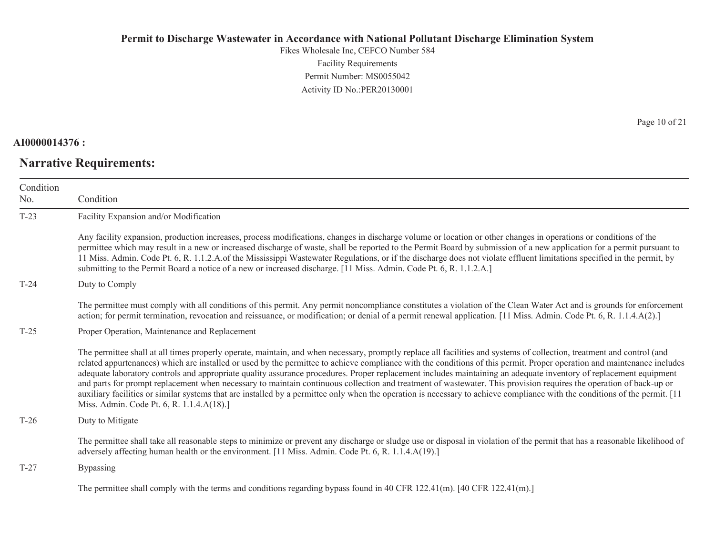Fikes Wholesale Inc, CEFCO Number 584 Facility Requirements Permit Number: MS0055042Activity ID No.:PER20130001

### **AI0000014376 :**

## **Narrative Requirements:**

Page 10 of 21

| Condition |                                                                                                                                                                                                                                                                                                                                                                                                                                                                                                                                                                                                                                                                                                                                                                                                                                                                                                                          |  |
|-----------|--------------------------------------------------------------------------------------------------------------------------------------------------------------------------------------------------------------------------------------------------------------------------------------------------------------------------------------------------------------------------------------------------------------------------------------------------------------------------------------------------------------------------------------------------------------------------------------------------------------------------------------------------------------------------------------------------------------------------------------------------------------------------------------------------------------------------------------------------------------------------------------------------------------------------|--|
| No.       | Condition                                                                                                                                                                                                                                                                                                                                                                                                                                                                                                                                                                                                                                                                                                                                                                                                                                                                                                                |  |
| $T-23$    | Facility Expansion and/or Modification                                                                                                                                                                                                                                                                                                                                                                                                                                                                                                                                                                                                                                                                                                                                                                                                                                                                                   |  |
|           | Any facility expansion, production increases, process modifications, changes in discharge volume or location or other changes in operations or conditions of the<br>permittee which may result in a new or increased discharge of waste, shall be reported to the Permit Board by submission of a new application for a permit pursuant to<br>11 Miss. Admin. Code Pt. 6, R. 1.1.2.A.of the Mississippi Wastewater Regulations, or if the discharge does not violate effluent limitations specified in the permit, by<br>submitting to the Permit Board a notice of a new or increased discharge. [11 Miss. Admin. Code Pt. 6, R. 1.1.2.A.]                                                                                                                                                                                                                                                                              |  |
| $T-24$    | Duty to Comply                                                                                                                                                                                                                                                                                                                                                                                                                                                                                                                                                                                                                                                                                                                                                                                                                                                                                                           |  |
|           | The permittee must comply with all conditions of this permit. Any permit noncompliance constitutes a violation of the Clean Water Act and is grounds for enforcement<br>action; for permit termination, revocation and reissuance, or modification; or denial of a permit renewal application. [11 Miss. Admin. Code Pt. 6, R. 1.1.4.A(2).]                                                                                                                                                                                                                                                                                                                                                                                                                                                                                                                                                                              |  |
| $T-25$    | Proper Operation, Maintenance and Replacement                                                                                                                                                                                                                                                                                                                                                                                                                                                                                                                                                                                                                                                                                                                                                                                                                                                                            |  |
|           | The permittee shall at all times properly operate, maintain, and when necessary, promptly replace all facilities and systems of collection, treatment and control (and<br>related appurtenances) which are installed or used by the permittee to achieve compliance with the conditions of this permit. Proper operation and maintenance includes<br>adequate laboratory controls and appropriate quality assurance procedures. Proper replacement includes maintaining an adequate inventory of replacement equipment<br>and parts for prompt replacement when necessary to maintain continuous collection and treatment of wastewater. This provision requires the operation of back-up or<br>auxiliary facilities or similar systems that are installed by a permittee only when the operation is necessary to achieve compliance with the conditions of the permit. [11<br>Miss. Admin. Code Pt. 6, R. 1.1.4.A(18).] |  |
| $T-26$    | Duty to Mitigate                                                                                                                                                                                                                                                                                                                                                                                                                                                                                                                                                                                                                                                                                                                                                                                                                                                                                                         |  |
|           | The permittee shall take all reasonable steps to minimize or prevent any discharge or sludge use or disposal in violation of the permit that has a reasonable likelihood of<br>adversely affecting human health or the environment. [11 Miss. Admin. Code Pt. 6, R. 1.1.4.A(19).]                                                                                                                                                                                                                                                                                                                                                                                                                                                                                                                                                                                                                                        |  |
| $T-27$    | <b>Bypassing</b>                                                                                                                                                                                                                                                                                                                                                                                                                                                                                                                                                                                                                                                                                                                                                                                                                                                                                                         |  |
|           | $\mathcal{L}_{11} = 1$ and $\mathcal{L}_{11} = 1$ and $\mathcal{L}_{11} = 1$ and $\mathcal{L}_{11} = 1$ and $\mathcal{L}_{12} = 1$ and $\mathcal{L}_{13} = 1$ and $\mathcal{L}_{14} = 1$ and $\mathcal{L}_{15} = 1$ and $\mathcal{L}_{16} = 1$ and $\mathcal{L}_{17} = 1$ and $\mathcal{L}_{18} = 1$ and $\mathcal{L}_{19} = $                                                                                                                                                                                                                                                                                                                                                                                                                                                                                                                                                                                           |  |

The permittee shall comply with the terms and conditions regarding bypass found in 40 CFR 122.41(m). [40 CFR 122.41(m).]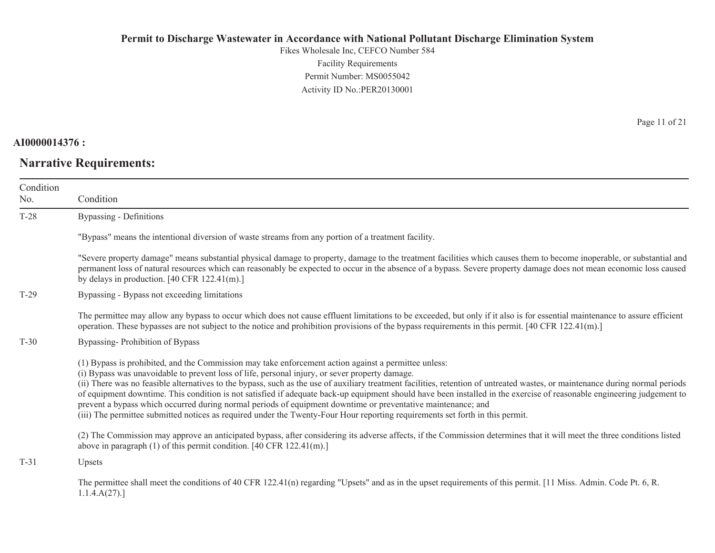Fikes Wholesale Inc, CEFCO Number 584 Facility Requirements Permit Number: MS0055042 Activity ID No.:PER20130001

**AI0000014376 :**

**Narrative Requirements:**

Page 11 of 21

| Condition |                                                                                                                                                                                                                                                                                                                                                                                                                                                                                                                                                                                                                                                                                                                                                                                                                    |
|-----------|--------------------------------------------------------------------------------------------------------------------------------------------------------------------------------------------------------------------------------------------------------------------------------------------------------------------------------------------------------------------------------------------------------------------------------------------------------------------------------------------------------------------------------------------------------------------------------------------------------------------------------------------------------------------------------------------------------------------------------------------------------------------------------------------------------------------|
| No.       | Condition                                                                                                                                                                                                                                                                                                                                                                                                                                                                                                                                                                                                                                                                                                                                                                                                          |
| $T-28$    | Bypassing - Definitions                                                                                                                                                                                                                                                                                                                                                                                                                                                                                                                                                                                                                                                                                                                                                                                            |
|           | "Bypass" means the intentional diversion of waste streams from any portion of a treatment facility.                                                                                                                                                                                                                                                                                                                                                                                                                                                                                                                                                                                                                                                                                                                |
|           | "Severe property damage" means substantial physical damage to property, damage to the treatment facilities which causes them to become inoperable, or substantial and<br>permanent loss of natural resources which can reasonably be expected to occur in the absence of a bypass. Severe property damage does not mean economic loss caused<br>by delays in production. $[40 \text{ CFR } 122.41 \text{ (m)}]$                                                                                                                                                                                                                                                                                                                                                                                                    |
| $T-29$    | Bypassing - Bypass not exceeding limitations                                                                                                                                                                                                                                                                                                                                                                                                                                                                                                                                                                                                                                                                                                                                                                       |
|           | The permittee may allow any bypass to occur which does not cause effluent limitations to be exceeded, but only if it also is for essential maintenance to assure efficient<br>operation. These bypasses are not subject to the notice and prohibition provisions of the bypass requirements in this permit. [40 CFR 122.41(m).]                                                                                                                                                                                                                                                                                                                                                                                                                                                                                    |
| $T-30$    | Bypassing-Prohibition of Bypass                                                                                                                                                                                                                                                                                                                                                                                                                                                                                                                                                                                                                                                                                                                                                                                    |
|           | (1) Bypass is prohibited, and the Commission may take enforcement action against a permittee unless:<br>(i) Bypass was unavoidable to prevent loss of life, personal injury, or sever property damage.<br>(ii) There was no feasible alternatives to the bypass, such as the use of auxiliary treatment facilities, retention of untreated wastes, or maintenance during normal periods<br>of equipment downtime. This condition is not satisfied if adequate back-up equipment should have been installed in the exercise of reasonable engineering judgement to<br>prevent a bypass which occurred during normal periods of equipment downtime or preventative maintenance; and<br>(iii) The permittee submitted notices as required under the Twenty-Four Hour reporting requirements set forth in this permit. |
|           | (2) The Commission may approve an anticipated bypass, after considering its adverse affects, if the Commission determines that it will meet the three conditions listed<br>above in paragraph $(1)$ of this permit condition. [40 CFR 122.41(m).]                                                                                                                                                                                                                                                                                                                                                                                                                                                                                                                                                                  |
| $T-31$    | Upsets                                                                                                                                                                                                                                                                                                                                                                                                                                                                                                                                                                                                                                                                                                                                                                                                             |
|           | The permittee shall meet the conditions of 40 CFR 122.41(n) regarding "Upsets" and as in the upset requirements of this permit. [11 Miss. Admin. Code Pt. 6, R.<br>1.1.4.A(27).                                                                                                                                                                                                                                                                                                                                                                                                                                                                                                                                                                                                                                    |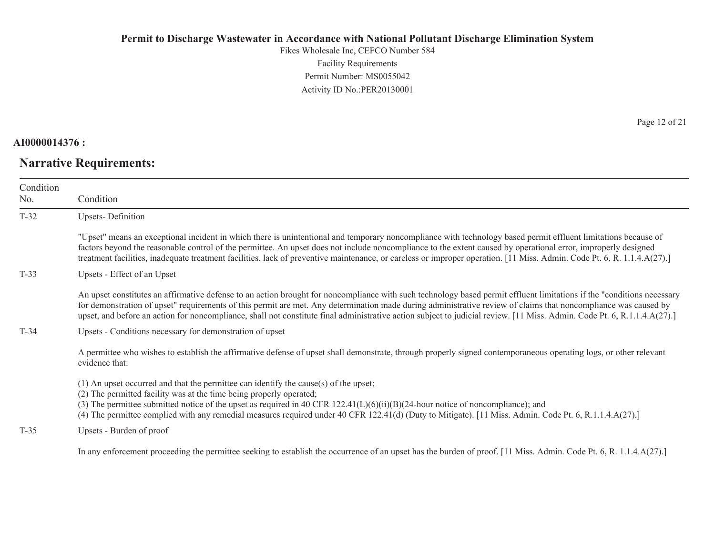Fikes Wholesale Inc, CEFCO Number 584 Facility Requirements Permit Number: MS0055042Activity ID No.:PER20130001

### **AI0000014376 :**

# **Narrative Requirements:**

Page 12 of 21

| Condition<br>No. | Condition                                                                                                                                                                                                                                                                                                                                                                                                                                                                                                             |
|------------------|-----------------------------------------------------------------------------------------------------------------------------------------------------------------------------------------------------------------------------------------------------------------------------------------------------------------------------------------------------------------------------------------------------------------------------------------------------------------------------------------------------------------------|
| $T-32$           | <b>Upsets-Definition</b>                                                                                                                                                                                                                                                                                                                                                                                                                                                                                              |
|                  | "Upset" means an exceptional incident in which there is unintentional and temporary noncompliance with technology based permit effluent limitations because of<br>factors beyond the reasonable control of the permittee. An upset does not include noncompliance to the extent caused by operational error, improperly designed<br>treatment facilities, inadequate treatment facilities, lack of preventive maintenance, or careless or improper operation. [11 Miss. Admin. Code Pt. 6, R. 1.1.4.A(27).]           |
| $T-33$           | Upsets - Effect of an Upset                                                                                                                                                                                                                                                                                                                                                                                                                                                                                           |
|                  | An upset constitutes an affirmative defense to an action brought for noncompliance with such technology based permit effluent limitations if the "conditions necessary<br>for demonstration of upset" requirements of this permit are met. Any determination made during administrative review of claims that noncompliance was caused by<br>upset, and before an action for noncompliance, shall not constitute final administrative action subject to judicial review. [11 Miss. Admin. Code Pt. 6, R.1.1.4.A(27).] |
| $T-34$           | Upsets - Conditions necessary for demonstration of upset                                                                                                                                                                                                                                                                                                                                                                                                                                                              |
|                  | A permittee who wishes to establish the affirmative defense of upset shall demonstrate, through properly signed contemporaneous operating logs, or other relevant<br>evidence that:                                                                                                                                                                                                                                                                                                                                   |
|                  | (1) An upset occurred and that the permittee can identify the cause(s) of the upset;<br>(2) The permitted facility was at the time being properly operated;<br>(3) The permittee submitted notice of the upset as required in 40 CFR $122.41(L)(6)(ii)(B)(24-hour notice of noncompliance)$ ; and<br>(4) The permittee complied with any remedial measures required under 40 CFR 122.41(d) (Duty to Mitigate). [11 Miss. Admin. Code Pt. 6, R.1.1.4.A(27).]                                                           |
| $T-35$           | Upsets - Burden of proof                                                                                                                                                                                                                                                                                                                                                                                                                                                                                              |
|                  | In any enforcement proceeding the permittee seeking to establish the occurrence of an upset has the burden of proof. [11 Miss. Admin. Code Pt. 6, R. 1.1.4.A(27).]                                                                                                                                                                                                                                                                                                                                                    |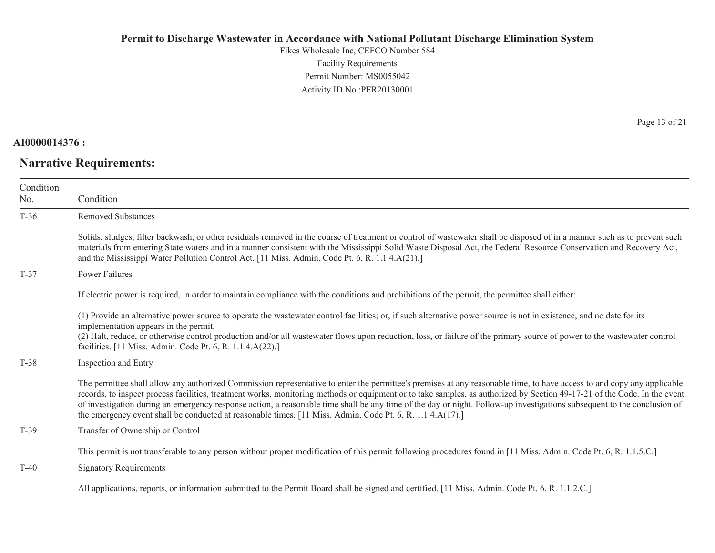Fikes Wholesale Inc, CEFCO Number 584 Facility Requirements Permit Number: MS0055042Activity ID No.:PER20130001

#### **AI0000014376 :**

# **Narrative Requirements:**

Page 13 of 21

| Condition |                                                                                                                                                                                                                                                                                                                                                                                                                                                                                                                                                                                                                                            |
|-----------|--------------------------------------------------------------------------------------------------------------------------------------------------------------------------------------------------------------------------------------------------------------------------------------------------------------------------------------------------------------------------------------------------------------------------------------------------------------------------------------------------------------------------------------------------------------------------------------------------------------------------------------------|
| No.       | Condition                                                                                                                                                                                                                                                                                                                                                                                                                                                                                                                                                                                                                                  |
| $T-36$    | <b>Removed Substances</b>                                                                                                                                                                                                                                                                                                                                                                                                                                                                                                                                                                                                                  |
|           | Solids, sludges, filter backwash, or other residuals removed in the course of treatment or control of wastewater shall be disposed of in a manner such as to prevent such<br>materials from entering State waters and in a manner consistent with the Mississippi Solid Waste Disposal Act, the Federal Resource Conservation and Recovery Act,<br>and the Mississippi Water Pollution Control Act. [11 Miss. Admin. Code Pt. 6, R. 1.1.4.A(21).]                                                                                                                                                                                          |
| $T-37$    | Power Failures                                                                                                                                                                                                                                                                                                                                                                                                                                                                                                                                                                                                                             |
|           | If electric power is required, in order to maintain compliance with the conditions and prohibitions of the permit, the permittee shall either:                                                                                                                                                                                                                                                                                                                                                                                                                                                                                             |
|           | (1) Provide an alternative power source to operate the wastewater control facilities; or, if such alternative power source is not in existence, and no date for its<br>implementation appears in the permit,<br>(2) Halt, reduce, or otherwise control production and/or all wastewater flows upon reduction, loss, or failure of the primary source of power to the wastewater control                                                                                                                                                                                                                                                    |
|           | facilities. [11 Miss. Admin. Code Pt. 6, R. 1.1.4.A(22).]                                                                                                                                                                                                                                                                                                                                                                                                                                                                                                                                                                                  |
| T-38      | Inspection and Entry                                                                                                                                                                                                                                                                                                                                                                                                                                                                                                                                                                                                                       |
|           | The permittee shall allow any authorized Commission representative to enter the permittee's premises at any reasonable time, to have access to and copy any applicable<br>records, to inspect process facilities, treatment works, monitoring methods or equipment or to take samples, as authorized by Section 49-17-21 of the Code. In the event<br>of investigation during an emergency response action, a reasonable time shall be any time of the day or night. Follow-up investigations subsequent to the conclusion of<br>the emergency event shall be conducted at reasonable times. [11 Miss. Admin. Code Pt. 6, R. 1.1.4.A(17).] |
| $T-39$    | Transfer of Ownership or Control                                                                                                                                                                                                                                                                                                                                                                                                                                                                                                                                                                                                           |
|           | This permit is not transferable to any person without proper modification of this permit following procedures found in [11 Miss. Admin. Code Pt. 6, R. 1.1.5.C.]                                                                                                                                                                                                                                                                                                                                                                                                                                                                           |
| $T-40$    | <b>Signatory Requirements</b>                                                                                                                                                                                                                                                                                                                                                                                                                                                                                                                                                                                                              |
|           | All applications, reports, or information submitted to the Permit Board shall be signed and certified. [11 Miss. Admin. Code Pt. 6, R. 1.1.2.C.]                                                                                                                                                                                                                                                                                                                                                                                                                                                                                           |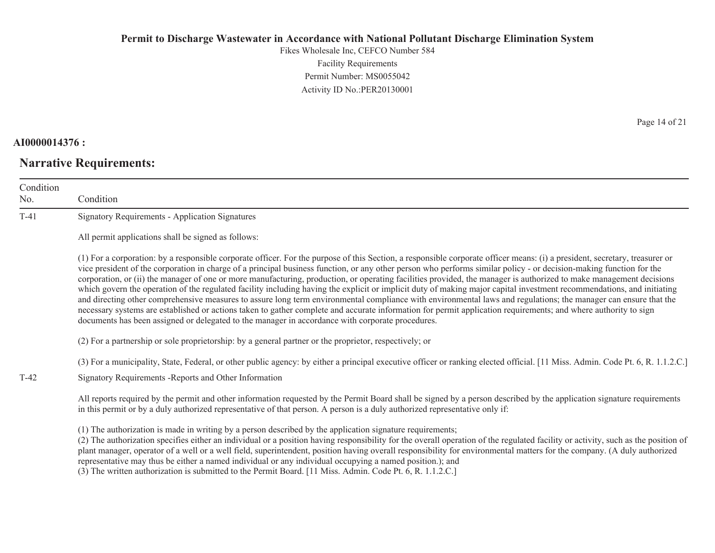Fikes Wholesale Inc, CEFCO Number 584 Facility Requirements Permit Number: MS0055042 Activity ID No.:PER20130001

### **AI0000014376 :**

# **Narrative Requirements:**

Page 14 of 21

| Condition<br>No. | Condition                                                                                                                                                                                                                                                                                                                                                                                                                                                                                                                                                                                                                                                                                                                                                                                                                                                                                                                                                                                                                                                                                                                                      |
|------------------|------------------------------------------------------------------------------------------------------------------------------------------------------------------------------------------------------------------------------------------------------------------------------------------------------------------------------------------------------------------------------------------------------------------------------------------------------------------------------------------------------------------------------------------------------------------------------------------------------------------------------------------------------------------------------------------------------------------------------------------------------------------------------------------------------------------------------------------------------------------------------------------------------------------------------------------------------------------------------------------------------------------------------------------------------------------------------------------------------------------------------------------------|
| $T-41$           | <b>Signatory Requirements - Application Signatures</b>                                                                                                                                                                                                                                                                                                                                                                                                                                                                                                                                                                                                                                                                                                                                                                                                                                                                                                                                                                                                                                                                                         |
|                  | All permit applications shall be signed as follows:                                                                                                                                                                                                                                                                                                                                                                                                                                                                                                                                                                                                                                                                                                                                                                                                                                                                                                                                                                                                                                                                                            |
|                  | (1) For a corporation: by a responsible corporate officer. For the purpose of this Section, a responsible corporate officer means: (i) a president, secretary, treasurer or<br>vice president of the corporation in charge of a principal business function, or any other person who performs similar policy - or decision-making function for the<br>corporation, or (ii) the manager of one or more manufacturing, production, or operating facilities provided, the manager is authorized to make management decisions<br>which govern the operation of the regulated facility including having the explicit or implicit duty of making major capital investment recommendations, and initiating<br>and directing other comprehensive measures to assure long term environmental compliance with environmental laws and regulations; the manager can ensure that the<br>necessary systems are established or actions taken to gather complete and accurate information for permit application requirements; and where authority to sign<br>documents has been assigned or delegated to the manager in accordance with corporate procedures. |
|                  | (2) For a partnership or sole proprietorship: by a general partner or the proprietor, respectively; or                                                                                                                                                                                                                                                                                                                                                                                                                                                                                                                                                                                                                                                                                                                                                                                                                                                                                                                                                                                                                                         |
| $T-42$           | (3) For a municipality, State, Federal, or other public agency: by either a principal executive officer or ranking elected official. [11 Miss. Admin. Code Pt. 6, R. 1.1.2.C.]<br>Signatory Requirements - Reports and Other Information                                                                                                                                                                                                                                                                                                                                                                                                                                                                                                                                                                                                                                                                                                                                                                                                                                                                                                       |
|                  | All reports required by the permit and other information requested by the Permit Board shall be signed by a person described by the application signature requirements<br>in this permit or by a duly authorized representative of that person. A person is a duly authorized representative only if:                                                                                                                                                                                                                                                                                                                                                                                                                                                                                                                                                                                                                                                                                                                                                                                                                                          |
|                  | (1) The authorization is made in writing by a person described by the application signature requirements;<br>(2) The authorization specifies either an individual or a position having responsibility for the overall operation of the regulated facility or activity, such as the position of<br>plant manager, operator of a well or a well field, superintendent, position having overall responsibility for environmental matters for the company. (A duly authorized<br>representative may thus be either a named individual or any individual occupying a named position.); and                                                                                                                                                                                                                                                                                                                                                                                                                                                                                                                                                          |

(3) The written authorization is submitted to the Permit Board. [11 Miss. Admin. Code Pt. 6, R. 1.1.2.C.]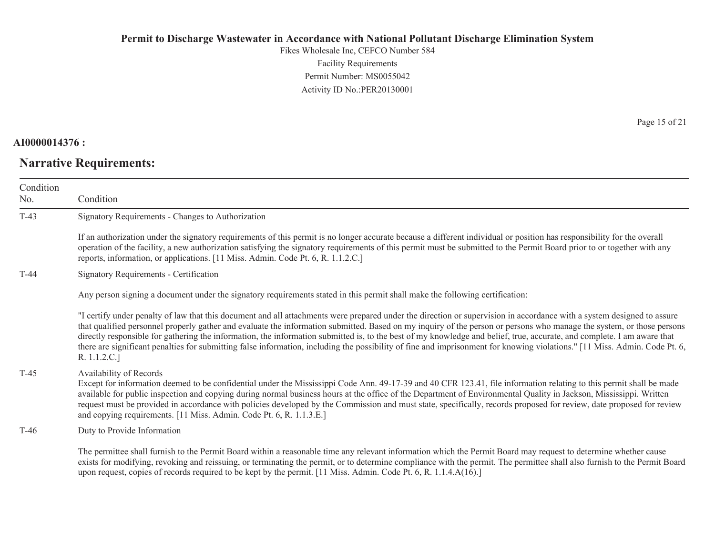Fikes Wholesale Inc, CEFCO Number 584 Facility Requirements Permit Number: MS0055042 Activity ID No.:PER20130001

### **AI0000014376 :**

# **Narrative Requirements:**

Page 15 of 21

| Condition<br>No. | Condition                                                                                                                                                                                                                                                                                                                                                                                                                                                                                                                                                                                                                                                                                                                |
|------------------|--------------------------------------------------------------------------------------------------------------------------------------------------------------------------------------------------------------------------------------------------------------------------------------------------------------------------------------------------------------------------------------------------------------------------------------------------------------------------------------------------------------------------------------------------------------------------------------------------------------------------------------------------------------------------------------------------------------------------|
| $T-43$           | Signatory Requirements - Changes to Authorization                                                                                                                                                                                                                                                                                                                                                                                                                                                                                                                                                                                                                                                                        |
|                  | If an authorization under the signatory requirements of this permit is no longer accurate because a different individual or position has responsibility for the overall<br>operation of the facility, a new authorization satisfying the signatory requirements of this permit must be submitted to the Permit Board prior to or together with any<br>reports, information, or applications. [11 Miss. Admin. Code Pt. 6, R. 1.1.2.C.]                                                                                                                                                                                                                                                                                   |
| $T-44$           | Signatory Requirements - Certification                                                                                                                                                                                                                                                                                                                                                                                                                                                                                                                                                                                                                                                                                   |
|                  | Any person signing a document under the signatory requirements stated in this permit shall make the following certification:                                                                                                                                                                                                                                                                                                                                                                                                                                                                                                                                                                                             |
|                  | "I certify under penalty of law that this document and all attachments were prepared under the direction or supervision in accordance with a system designed to assure<br>that qualified personnel properly gather and evaluate the information submitted. Based on my inquiry of the person or persons who manage the system, or those persons<br>directly responsible for gathering the information, the information submitted is, to the best of my knowledge and belief, true, accurate, and complete. I am aware that<br>there are significant penalties for submitting false information, including the possibility of fine and imprisonment for knowing violations." [11 Miss. Admin. Code Pt. 6,<br>R. 1.1.2.C.] |
| $T-45$           | Availability of Records<br>Except for information deemed to be confidential under the Mississippi Code Ann. 49-17-39 and 40 CFR 123.41, file information relating to this permit shall be made<br>available for public inspection and copying during normal business hours at the office of the Department of Environmental Quality in Jackson, Mississippi. Written<br>request must be provided in accordance with policies developed by the Commission and must state, specifically, records proposed for review, date proposed for review<br>and copying requirements. [11 Miss. Admin. Code Pt. 6, R. 1.1.3.E.]                                                                                                      |
| $T-46$           | Duty to Provide Information                                                                                                                                                                                                                                                                                                                                                                                                                                                                                                                                                                                                                                                                                              |
|                  | The permittee shall furnish to the Permit Board within a reasonable time any relevant information which the Permit Board may request to determine whether cause<br>exists for modifying, revoking and reissuing, or terminating the permit, or to determine compliance with the permit. The permittee shall also furnish to the Permit Board<br>upon request, copies of records required to be kept by the permit. [11 Miss. Admin. Code Pt. 6, R. 1.1.4.A(16).]                                                                                                                                                                                                                                                         |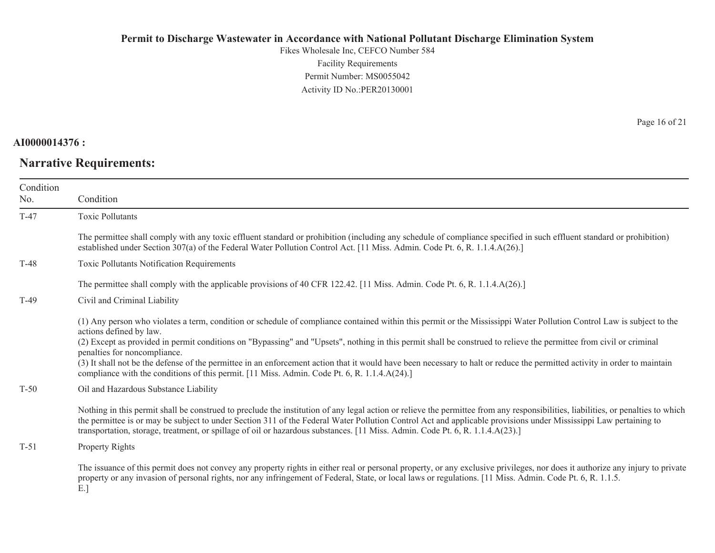Fikes Wholesale Inc, CEFCO Number 584 Facility Requirements Permit Number: MS0055042Activity ID No.:PER20130001

#### **AI0000014376 :**

# **Narrative Requirements:**

Page 16 of 21

| Condition<br>No. | Condition                                                                                                                                                                                                                                                                                                                                                                                                                                                                                                                                                                                                                                                                           |
|------------------|-------------------------------------------------------------------------------------------------------------------------------------------------------------------------------------------------------------------------------------------------------------------------------------------------------------------------------------------------------------------------------------------------------------------------------------------------------------------------------------------------------------------------------------------------------------------------------------------------------------------------------------------------------------------------------------|
| $T-47$           | <b>Toxic Pollutants</b>                                                                                                                                                                                                                                                                                                                                                                                                                                                                                                                                                                                                                                                             |
|                  | The permittee shall comply with any toxic effluent standard or prohibition (including any schedule of compliance specified in such effluent standard or prohibition)<br>established under Section 307(a) of the Federal Water Pollution Control Act. [11 Miss. Admin. Code Pt. 6, R. 1.1.4.A(26).]                                                                                                                                                                                                                                                                                                                                                                                  |
| $T-48$           | Toxic Pollutants Notification Requirements                                                                                                                                                                                                                                                                                                                                                                                                                                                                                                                                                                                                                                          |
|                  | The permittee shall comply with the applicable provisions of 40 CFR 122.42. [11 Miss. Admin. Code Pt. 6, R. 1.1.4.A(26).]                                                                                                                                                                                                                                                                                                                                                                                                                                                                                                                                                           |
| $T-49$           | Civil and Criminal Liability                                                                                                                                                                                                                                                                                                                                                                                                                                                                                                                                                                                                                                                        |
|                  | (1) Any person who violates a term, condition or schedule of compliance contained within this permit or the Mississippi Water Pollution Control Law is subject to the<br>actions defined by law.<br>(2) Except as provided in permit conditions on "Bypassing" and "Upsets", nothing in this permit shall be construed to relieve the permittee from civil or criminal<br>penalties for noncompliance.<br>(3) It shall not be the defense of the permittee in an enforcement action that it would have been necessary to halt or reduce the permitted activity in order to maintain<br>compliance with the conditions of this permit. [11 Miss. Admin. Code Pt. 6, R. 1.1.4.A(24).] |
| $T-50$           | Oil and Hazardous Substance Liability                                                                                                                                                                                                                                                                                                                                                                                                                                                                                                                                                                                                                                               |
|                  | Nothing in this permit shall be construed to preclude the institution of any legal action or relieve the permittee from any responsibilities, liabilities, or penalties to which<br>the permittee is or may be subject to under Section 311 of the Federal Water Pollution Control Act and applicable provisions under Mississippi Law pertaining to<br>transportation, storage, treatment, or spillage of oil or hazardous substances. [11 Miss. Admin. Code Pt. 6, R. 1.1.4.A(23).]                                                                                                                                                                                               |
| $T-51$           | Property Rights                                                                                                                                                                                                                                                                                                                                                                                                                                                                                                                                                                                                                                                                     |
|                  | The issuance of this permit does not convey any property rights in either real or personal property, or any exclusive privileges, nor does it authorize any injury to private<br>property or any invasion of personal rights, nor any infringement of Federal, State, or local laws or regulations. [11 Miss. Admin. Code Pt. 6, R. 1.1.5.]                                                                                                                                                                                                                                                                                                                                         |

E.]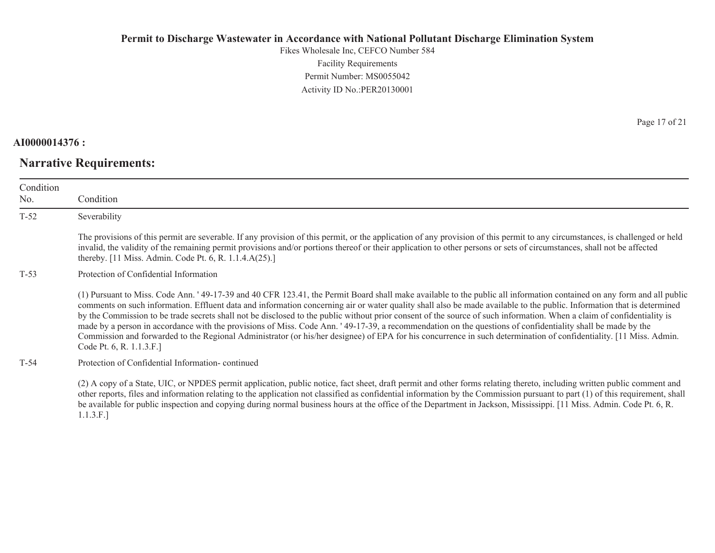Fikes Wholesale Inc, CEFCO Number 584 Facility Requirements Permit Number: MS0055042Activity ID No.:PER20130001

#### **AI0000014376 :**

# **Narrative Requirements:**

Page 17 of 21

| Condition<br>No. | Condition                                                                                                                                                                                                                                                                                                                                                                                                                                                                                                                                                                                                                                                                                                                                                                                                                                                                                  |
|------------------|--------------------------------------------------------------------------------------------------------------------------------------------------------------------------------------------------------------------------------------------------------------------------------------------------------------------------------------------------------------------------------------------------------------------------------------------------------------------------------------------------------------------------------------------------------------------------------------------------------------------------------------------------------------------------------------------------------------------------------------------------------------------------------------------------------------------------------------------------------------------------------------------|
| $T-52$           | Severability                                                                                                                                                                                                                                                                                                                                                                                                                                                                                                                                                                                                                                                                                                                                                                                                                                                                               |
|                  | The provisions of this permit are severable. If any provision of this permit, or the application of any provision of this permit to any circumstances, is challenged or held<br>invalid, the validity of the remaining permit provisions and/or portions thereof or their application to other persons or sets of circumstances, shall not be affected<br>thereby. [11 Miss. Admin. Code Pt. 6, R. 1.1.4.A(25).]                                                                                                                                                                                                                                                                                                                                                                                                                                                                           |
| $T-53$           | Protection of Confidential Information                                                                                                                                                                                                                                                                                                                                                                                                                                                                                                                                                                                                                                                                                                                                                                                                                                                     |
|                  | (1) Pursuant to Miss. Code Ann. '49-17-39 and 40 CFR 123.41, the Permit Board shall make available to the public all information contained on any form and all public<br>comments on such information. Effluent data and information concerning air or water quality shall also be made available to the public. Information that is determined<br>by the Commission to be trade secrets shall not be disclosed to the public without prior consent of the source of such information. When a claim of confidentiality is<br>made by a person in accordance with the provisions of Miss. Code Ann. '49-17-39, a recommendation on the questions of confidentiality shall be made by the<br>Commission and forwarded to the Regional Administrator (or his/her designee) of EPA for his concurrence in such determination of confidentiality. [11 Miss. Admin.]<br>Code Pt. 6, R. 1.1.3.F.] |
| $T-54$           | Protection of Confidential Information-continued                                                                                                                                                                                                                                                                                                                                                                                                                                                                                                                                                                                                                                                                                                                                                                                                                                           |
|                  | (2) A copy of a State, UIC, or NPDES permit application, public notice, fact sheet, draft permit and other forms relating thereto, including written public comment and<br>other reports, files and information relating to the application not classified as confidential information by the Commission pursuant to part (1) of this requirement, shall<br>be available for public inspection and copying during normal business hours at the office of the Department in Jackson, Mississippi. [11 Miss. Admin. Code Pt. 6, R.                                                                                                                                                                                                                                                                                                                                                           |

1.1.3.F.]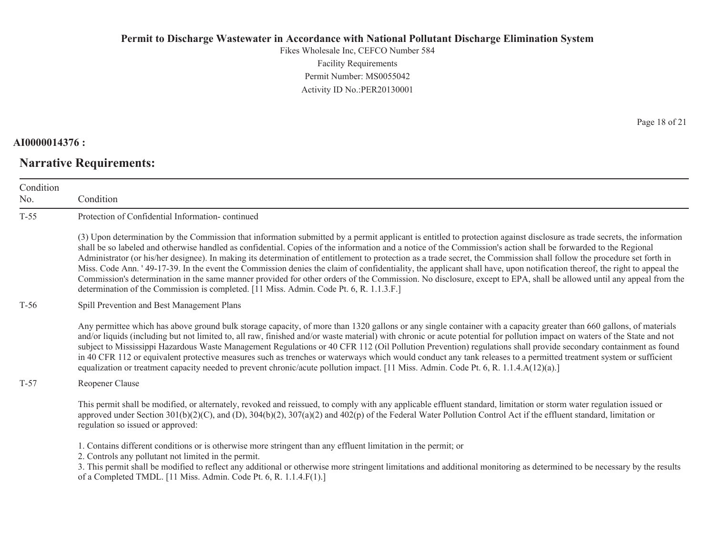Fikes Wholesale Inc, CEFCO Number 584 Facility Requirements Permit Number: MS0055042 Activity ID No.:PER20130001

### **AI0000014376 :**

# **Narrative Requirements:**

Page 18 of 21

| Condition<br>No. | Condition                                                                                                                                                                                                                                                                                                                                                                                                                                                                                                                                                                                                                                                                                                                                                                                                                                                                                                                                                            |
|------------------|----------------------------------------------------------------------------------------------------------------------------------------------------------------------------------------------------------------------------------------------------------------------------------------------------------------------------------------------------------------------------------------------------------------------------------------------------------------------------------------------------------------------------------------------------------------------------------------------------------------------------------------------------------------------------------------------------------------------------------------------------------------------------------------------------------------------------------------------------------------------------------------------------------------------------------------------------------------------|
| $T-55$           | Protection of Confidential Information-continued                                                                                                                                                                                                                                                                                                                                                                                                                                                                                                                                                                                                                                                                                                                                                                                                                                                                                                                     |
|                  | (3) Upon determination by the Commission that information submitted by a permit applicant is entitled to protection against disclosure as trade secrets, the information<br>shall be so labeled and otherwise handled as confidential. Copies of the information and a notice of the Commission's action shall be forwarded to the Regional<br>Administrator (or his/her designee). In making its determination of entitlement to protection as a trade secret, the Commission shall follow the procedure set forth in<br>Miss. Code Ann. '49-17-39. In the event the Commission denies the claim of confidentiality, the applicant shall have, upon notification thereof, the right to appeal the<br>Commission's determination in the same manner provided for other orders of the Commission. No disclosure, except to EPA, shall be allowed until any appeal from the<br>determination of the Commission is completed. [11 Miss. Admin. Code Pt. 6, R. 1.1.3.F.] |
| $T-56$           | Spill Prevention and Best Management Plans                                                                                                                                                                                                                                                                                                                                                                                                                                                                                                                                                                                                                                                                                                                                                                                                                                                                                                                           |
|                  | Any permittee which has above ground bulk storage capacity, of more than 1320 gallons or any single container with a capacity greater than 660 gallons, of materials<br>and/or liquids (including but not limited to, all raw, finished and/or waste material) with chronic or acute potential for pollution impact on waters of the State and not<br>subject to Mississippi Hazardous Waste Management Regulations or 40 CFR 112 (Oil Pollution Prevention) regulations shall provide secondary containment as found<br>in 40 CFR 112 or equivalent protective measures such as trenches or waterways which would conduct any tank releases to a permitted treatment system or sufficient<br>equalization or treatment capacity needed to prevent chronic/acute pollution impact. [11 Miss. Admin. Code Pt. 6, R. 1.1.4.A(12)(a).]                                                                                                                                  |
| $T-57$           | Reopener Clause                                                                                                                                                                                                                                                                                                                                                                                                                                                                                                                                                                                                                                                                                                                                                                                                                                                                                                                                                      |
|                  | This permit shall be modified, or alternately, revoked and reissued, to comply with any applicable effluent standard, limitation or storm water regulation issued or<br>approved under Section $301(b)(2)(C)$ , and (D), $304(b)(2)$ , $307(a)(2)$ and $402(p)$ of the Federal Water Pollution Control Act if the effluent standard, limitation or<br>regulation so issued or approved:                                                                                                                                                                                                                                                                                                                                                                                                                                                                                                                                                                              |
|                  | 1. Contains different conditions or is otherwise more stringent than any effluent limitation in the permit; or<br>2. Controls any pollutant not limited in the permit.<br>3. This permit shall be modified to reflect any additional or otherwise more stringent limitations and additional monitoring as determined to be necessary by the results<br>of a Completed TMDL. [11 Miss. Admin. Code Pt. 6, R. 1.1.4.F(1).]                                                                                                                                                                                                                                                                                                                                                                                                                                                                                                                                             |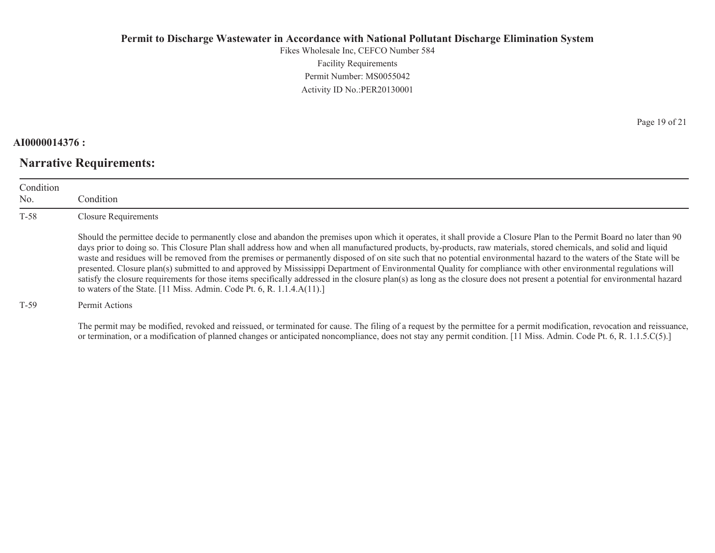Fikes Wholesale Inc, CEFCO Number 584 Facility Requirements Permit Number: MS0055042 Activity ID No.:PER20130001

### **AI0000014376 :**

## **Narrative Requirements:**

Page 19 of 21

| Condition<br>No. | Condition <sub>.</sub>                                                                                                                                                                                                                                                                                                                                                                                                                                                                                                                                                                                                                                                                                                                                                                                                                                                                                                                                |
|------------------|-------------------------------------------------------------------------------------------------------------------------------------------------------------------------------------------------------------------------------------------------------------------------------------------------------------------------------------------------------------------------------------------------------------------------------------------------------------------------------------------------------------------------------------------------------------------------------------------------------------------------------------------------------------------------------------------------------------------------------------------------------------------------------------------------------------------------------------------------------------------------------------------------------------------------------------------------------|
| $T-58$           | <b>Closure Requirements</b>                                                                                                                                                                                                                                                                                                                                                                                                                                                                                                                                                                                                                                                                                                                                                                                                                                                                                                                           |
|                  | Should the permittee decide to permanently close and abandon the premises upon which it operates, it shall provide a Closure Plan to the Permit Board no later than 90<br>days prior to doing so. This Closure Plan shall address how and when all manufactured products, by-products, raw materials, stored chemicals, and solid and liquid<br>waste and residues will be removed from the premises or permanently disposed of on site such that no potential environmental hazard to the waters of the State will be<br>presented. Closure plan(s) submitted to and approved by Mississippi Department of Environmental Quality for compliance with other environmental regulations will<br>satisfy the closure requirements for those items specifically addressed in the closure plan(s) as long as the closure does not present a potential for environmental hazard<br>to waters of the State. [11 Miss. Admin. Code Pt. 6, R. $1.1.4.A(11).$ ] |
| $T-59$           | Permit Actions                                                                                                                                                                                                                                                                                                                                                                                                                                                                                                                                                                                                                                                                                                                                                                                                                                                                                                                                        |

The permit may be modified, revoked and reissued, or terminated for cause. The filing of a request by the permittee for a permit modification, revocation and reissuance, or termination, or a modification of planned changes or anticipated noncompliance, does not stay any permit condition. [11 Miss. Admin. Code Pt. 6, R. 1.1.5.C(5).]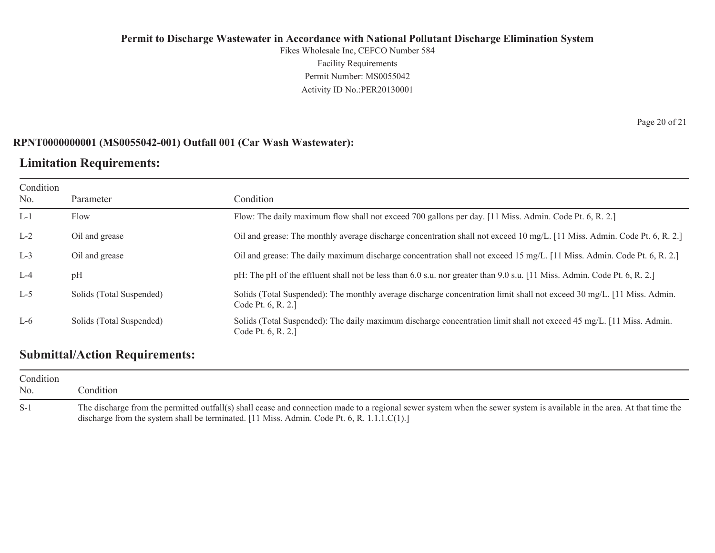Fikes Wholesale Inc, CEFCO Number 584 Facility Requirements Permit Number: MS0055042 Activity ID No.:PER20130001

### **RPNT0000000001 (MS0055042-001) Outfall 001 (Car Wash Wastewater):**

## **Limitation Requirements:**

| Condition<br>No. | Parameter                | Condition                                                                                                                                     |
|------------------|--------------------------|-----------------------------------------------------------------------------------------------------------------------------------------------|
| $L-1$            | Flow                     | Flow: The daily maximum flow shall not exceed 700 gallons per day. [11 Miss. Admin. Code Pt. 6, R. 2.]                                        |
| $L-2$            | Oil and grease           | Oil and grease: The monthly average discharge concentration shall not exceed 10 mg/L. [11 Miss. Admin. Code Pt. 6, R. 2.]                     |
| $L-3$            | Oil and grease           | Oil and grease: The daily maximum discharge concentration shall not exceed 15 mg/L. [11 Miss. Admin. Code Pt. 6, R. 2.]                       |
| $L-4$            | pH                       | pH: The pH of the effluent shall not be less than 6.0 s.u. nor greater than 9.0 s.u. [11 Miss. Admin. Code Pt. 6, R. 2.]                      |
| $L-5$            | Solids (Total Suspended) | Solids (Total Suspended): The monthly average discharge concentration limit shall not exceed 30 mg/L. [11 Miss. Admin.]<br>Code Pt. 6, R. 2.] |
| $L-6$            | Solids (Total Suspended) | Solids (Total Suspended): The daily maximum discharge concentration limit shall not exceed 45 mg/L. [11 Miss. Admin.]<br>Code Pt. 6, R. 2.]   |

## **Submittal/Action Requirements:**

| Condition<br>No. | Condition:                                                                                                                                                                                                                                                              |
|------------------|-------------------------------------------------------------------------------------------------------------------------------------------------------------------------------------------------------------------------------------------------------------------------|
| S-1              | The discharge from the permitted outfall(s) shall cease and connection made to a regional sewer system when the sewer system is available in the area. At that time the<br>discharge from the system shall be terminated. $[11$ Miss. Admin. Code Pt. 6, R. 1.1.1.C(1). |

Page 20 of 21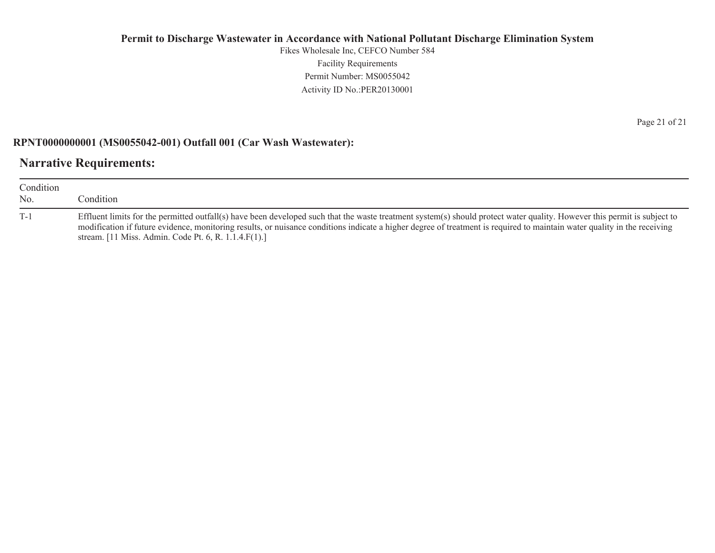Fikes Wholesale Inc, CEFCO Number 584 Facility Requirements Permit Number: MS0055042 Activity ID No.:PER20130001

### **RPNT0000000001 (MS0055042-001) Outfall 001 (Car Wash Wastewater):**

## **Narrative Requirements:**

| Condition<br>N <sub>0</sub> | Condition:                                                                                                                                                                                                                                                                                                                                                                                                   |
|-----------------------------|--------------------------------------------------------------------------------------------------------------------------------------------------------------------------------------------------------------------------------------------------------------------------------------------------------------------------------------------------------------------------------------------------------------|
| $T-1$                       | Effluent limits for the permitted outfall(s) have been developed such that the waste treatment system(s) should protect water quality. However this permit is subject to<br>modification if future evidence, monitoring results, or nuisance conditions indicate a higher degree of treatment is required to maintain water quality in the receiving<br>stream. [11 Miss. Admin. Code Pt. 6, R. 1.1.4.F(1).] |

Page 21 of 21